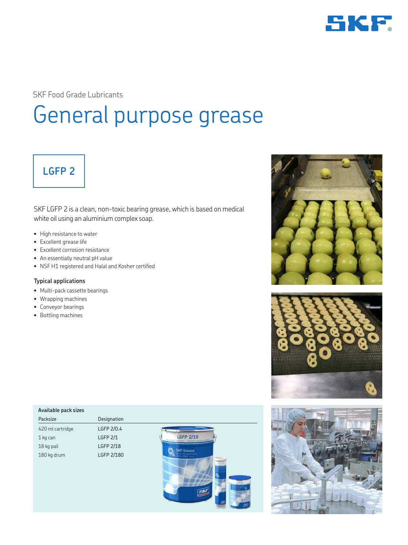

SKF Food Grade Lubricants

# General purpose grease

## **LGFP 2**

SKF LGFP 2 is a clean, non-toxic bearing grease, which is based on medical white oil using an aluminium complex soap.

- High resistance to water
- Excellent grease life
- Excellent corrosion resistance
- An essentially neutral pH value
- NSF H1 registered and Halal and Kosher certified

#### **Typical applications**

- Multi-pack cassette bearings
- Wrapping machines
- Conveyor bearings
- Bottling machines

| Available pack sizes |                             |
|----------------------|-----------------------------|
| Packsize             | Designation                 |
| 420 ml cartridge     | LGFP 2/0.4                  |
| 1 kg can             | GFP 2/18<br><b>LGFP 2/1</b> |
| 18 kg pail           | <b>LGFP 2/18</b>            |
| 180 kg drum          | LGFP 2/180                  |